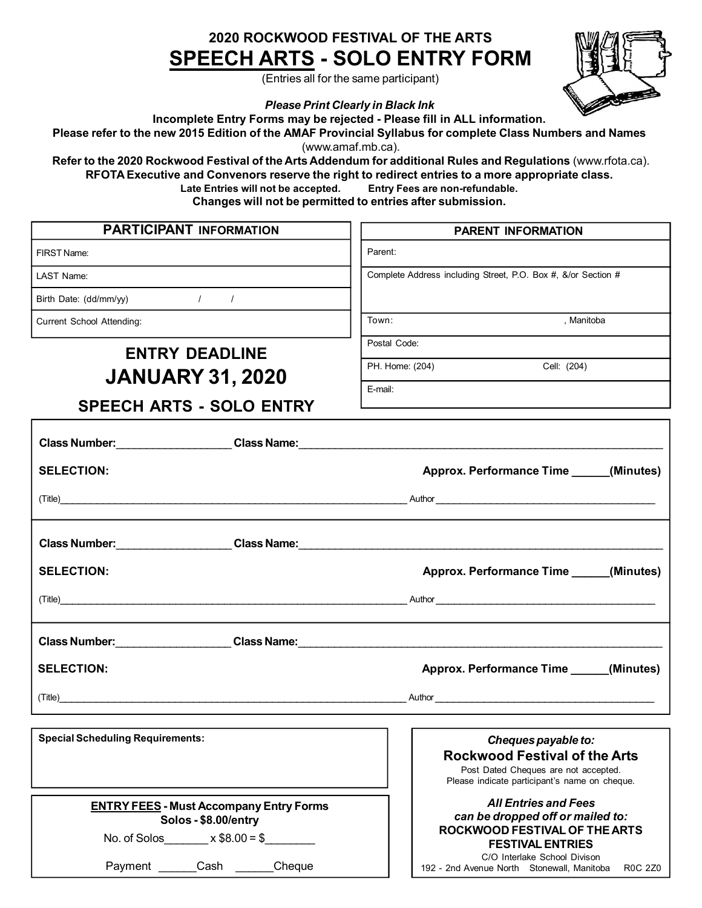### **2020 ROCKWOOD FESTIVAL OF THE ARTS SPEECH ARTS - SOLO ENTRY FORM**

(Entries all for the same participant)

*Please Print Clearly in Black Ink*

**Incomplete Entry Forms may be rejected - Please fill in ALL information.**

Please refer to the new 2015 Edition of the AMAF Provincial Syllabus for complete Class Numbers and Names

(www.amaf.mb.ca).

**Refer to the 2020 Rockwood Festival of the Arts Addendum for additional Rules and Regulations** (www.rfota.ca). **RFOTA Executive and Convenors reserve the right to redirect entries to a more appropriate class.**

**Late Entries will not be accepted. Entry Fees are non-refundable.**

**Changes will not be permitted to entries after submission.**

| <b>PARTICIPANT INFORMATION</b>                                                                                                                                                                                                 | <b>PARENT INFORMATION</b>                                                                                                                                   |
|--------------------------------------------------------------------------------------------------------------------------------------------------------------------------------------------------------------------------------|-------------------------------------------------------------------------------------------------------------------------------------------------------------|
| FIRST Name:                                                                                                                                                                                                                    | Parent:                                                                                                                                                     |
| LAST Name:                                                                                                                                                                                                                     | Complete Address including Street, P.O. Box #, &/or Section #                                                                                               |
| Birth Date: (dd/mm/yy) / / /                                                                                                                                                                                                   |                                                                                                                                                             |
| Current School Attending:                                                                                                                                                                                                      | , Manitoba<br>Town:                                                                                                                                         |
| <b>ENTRY DEADLINE</b>                                                                                                                                                                                                          | Postal Code:                                                                                                                                                |
| <b>JANUARY 31, 2020</b>                                                                                                                                                                                                        | PH. Home: (204)<br>Cell: (204)                                                                                                                              |
| <b>SPEECH ARTS - SOLO ENTRY</b>                                                                                                                                                                                                | E-mail:                                                                                                                                                     |
|                                                                                                                                                                                                                                |                                                                                                                                                             |
| <b>SELECTION:</b>                                                                                                                                                                                                              | Approx. Performance Time ______(Minutes)                                                                                                                    |
|                                                                                                                                                                                                                                |                                                                                                                                                             |
| Class Number: Class Name: Class Name: Class Name: Class Number: Class Number: Class Number: Class Number: Class Number: Class Number: Class Number: Class Number: Class Number: Class Number: Class Number: Class Number: Clas |                                                                                                                                                             |
| <b>SELECTION:</b>                                                                                                                                                                                                              | Approx. Performance Time ______(Minutes)                                                                                                                    |
|                                                                                                                                                                                                                                |                                                                                                                                                             |
|                                                                                                                                                                                                                                |                                                                                                                                                             |
| <b>SELECTION:</b>                                                                                                                                                                                                              | Approx. Performance Time ______(Minutes)                                                                                                                    |
| (Title)                                                                                                                                                                                                                        |                                                                                                                                                             |
|                                                                                                                                                                                                                                |                                                                                                                                                             |
| <b>Special Scheduling Requirements:</b>                                                                                                                                                                                        | Cheques payable to:<br><b>Rockwood Festival of the Arts</b><br>Post Dated Cheques are not accepted.<br>Please indicate participant's name on cheque.        |
| <b>ENTRY FEES - Must Accompany Entry Forms</b><br>Solos - \$8.00/entry<br>No. of Solos $x $8.00 = $$                                                                                                                           | <b>All Entries and Fees</b><br>can be dropped off or mailed to:<br>ROCKWOOD FESTIVAL OF THE ARTS<br><b>FESTIVAL ENTRIES</b><br>C/O Interlake School Divison |
| Payment _______Cash _______Cheque                                                                                                                                                                                              | 192 - 2nd Avenue North Stonewall, Manitoba<br><b>R0C 2Z0</b>                                                                                                |

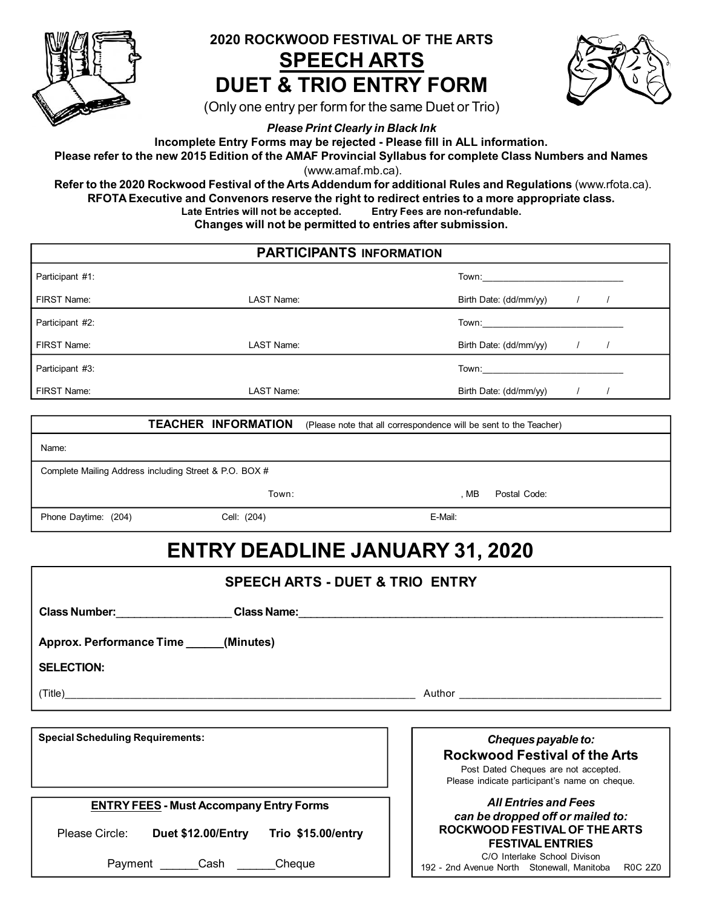

## **2020 ROCKWOOD FESTIVAL OF THE ARTS SPEECH ARTS DUET & TRIO ENTRY FORM**



(Only one entry per form for the same Duet or Trio)

*Please Print Clearly in Black Ink*

**Incomplete Entry Forms may be rejected - Please fill in ALL information.**

Please refer to the new 2015 Edition of the AMAF Provincial Syllabus for complete Class Numbers and Names (www.amaf.mb.ca).

**Refer to the 2020 Rockwood Festival of the Arts Addendum for additional Rules and Regulations** (www.rfota.ca). **RFOTA Executive and Convenors reserve the right to redirect entries to a more appropriate class. Late Entries will not be accepted. Entry Fees are non-refundable. Changes will not be permitted to entries after submission.**

#### **PARTICIPANTS INFORMATION**

| Participant #1: |            | Town:                                                                                                                                                                                                                          |
|-----------------|------------|--------------------------------------------------------------------------------------------------------------------------------------------------------------------------------------------------------------------------------|
| FIRST Name:     | LAST Name: | Birth Date: (dd/mm/yy)                                                                                                                                                                                                         |
| Participant #2: |            |                                                                                                                                                                                                                                |
| FIRST Name:     | LAST Name: | Birth Date: (dd/mm/yy)                                                                                                                                                                                                         |
| Participant #3: |            | Town: The contract of the contract of the contract of the contract of the contract of the contract of the contract of the contract of the contract of the contract of the contract of the contract of the contract of the cont |
| FIRST Name:     | LAST Name: | Birth Date: (dd/mm/yy)                                                                                                                                                                                                         |

|                      | <b>TEACHER INFORMATION</b>                             | (Please note that all correspondence will be sent to the Teacher) |
|----------------------|--------------------------------------------------------|-------------------------------------------------------------------|
| Name:                |                                                        |                                                                   |
|                      | Complete Mailing Address including Street & P.O. BOX # |                                                                   |
|                      | Town:                                                  | Postal Code:<br>. MB                                              |
| Phone Daytime: (204) | Cell: (204)                                            | E-Mail:                                                           |
|                      |                                                        |                                                                   |

# **ENTRY DEADLINE JANUARY 31, 2020**

| <b>SPEECH ARTS - DUET &amp; TRIO ENTRY</b>                                       |                                                                                              |  |
|----------------------------------------------------------------------------------|----------------------------------------------------------------------------------------------|--|
| Class Number: ___________________Class Name: ___________________________________ |                                                                                              |  |
| Approx. Performance Time ______(Minutes)                                         |                                                                                              |  |
| <b>SELECTION:</b>                                                                |                                                                                              |  |
|                                                                                  | Author <b>Author Author Author Author</b>                                                    |  |
|                                                                                  |                                                                                              |  |
| <b>Special Scheduling Requirements:</b>                                          | Cheques payable to:                                                                          |  |
|                                                                                  | <b>Rockwood Festival of the Arts</b>                                                         |  |
|                                                                                  | Post Dated Cheques are not accepted.<br>Please indicate participant's name on cheque.        |  |
|                                                                                  |                                                                                              |  |
| <b>ENTRY FEES - Must Accompany Entry Forms</b>                                   | <b>All Entries and Fees</b>                                                                  |  |
|                                                                                  | can be dropped off or mailed to:<br>ROCKWOOD FESTIVAL OF THE ARTS                            |  |
| Please Circle: Duet \$12.00/Entry Trio \$15.00/entry                             | <b>FESTIVAL ENTRIES</b>                                                                      |  |
| Cheque<br>Payment Cash                                                           | C/O Interlake School Divison<br>192 - 2nd Avenue North Stonewall, Manitoba<br><b>R0C 2Z0</b> |  |